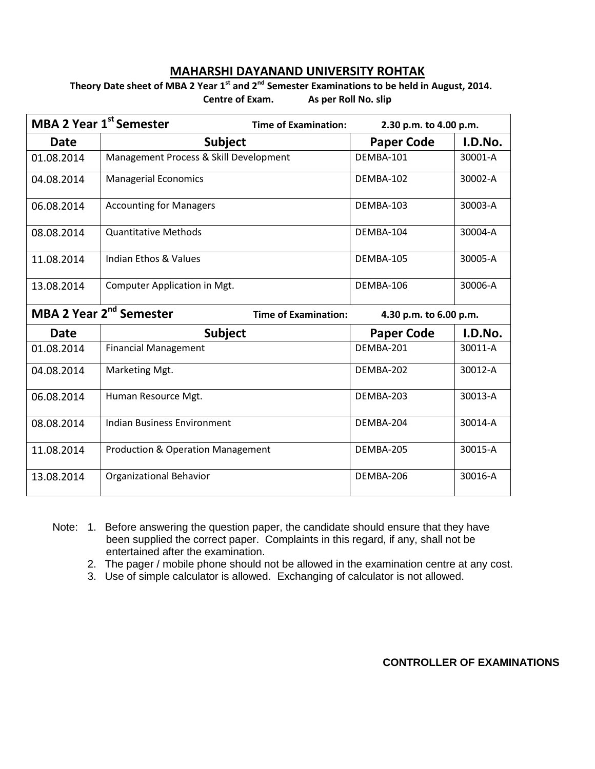## **MAHARSHI DAYANAND UNIVERSITY ROHTAK**

## **Theory Date sheet of MBA 2 Year 1st and 2nd Semester Examinations to be held in August, 2014. Centre of Exam. As per Roll No. slip**

| <b>MBA 2 Year 1st Semester</b><br><b>Time of Examination:</b>      |                                              | 2.30 p.m. to 4.00 p.m. |         |
|--------------------------------------------------------------------|----------------------------------------------|------------------------|---------|
| <b>Date</b>                                                        | <b>Subject</b>                               | <b>Paper Code</b>      | I.D.No. |
| 01.08.2014                                                         | Management Process & Skill Development       | DFMBA-101              | 30001-A |
| 04.08.2014                                                         | <b>Managerial Economics</b>                  | DEMBA-102              | 30002-A |
| 06.08.2014                                                         | <b>Accounting for Managers</b>               | DEMBA-103              | 30003-A |
| 08.08.2014                                                         | <b>Quantitative Methods</b>                  | DEMBA-104              | 30004-A |
| 11.08.2014                                                         | Indian Ethos & Values                        | DEMBA-105              | 30005-A |
| 13.08.2014                                                         | Computer Application in Mgt.                 | DEMBA-106              | 30006-A |
| MBA 2 Year 2 <sup>nd</sup> Semester<br><b>Time of Examination:</b> |                                              | 4.30 p.m. to 6.00 p.m. |         |
| <b>Date</b>                                                        | <b>Subject</b>                               | <b>Paper Code</b>      | I.D.No. |
| 01.08.2014                                                         | <b>Financial Management</b>                  | DEMBA-201              | 30011-A |
| 04.08.2014                                                         | Marketing Mgt.                               | DEMBA-202              | 30012-A |
| 06.08.2014                                                         | Human Resource Mgt.                          | DEMBA-203              | 30013-A |
| 08.08.2014                                                         | Indian Business Environment                  | DEMBA-204              | 30014-A |
| 11.08.2014                                                         | <b>Production &amp; Operation Management</b> | DEMBA-205              | 30015-A |
| 13.08.2014                                                         | Organizational Behavior                      | DEMBA-206              | 30016-A |

- Note: 1. Before answering the question paper, the candidate should ensure that they have been supplied the correct paper. Complaints in this regard, if any, shall not be entertained after the examination.
	- 2. The pager / mobile phone should not be allowed in the examination centre at any cost.
	- 3. Use of simple calculator is allowed. Exchanging of calculator is not allowed.

**CONTROLLER OF EXAMINATIONS**